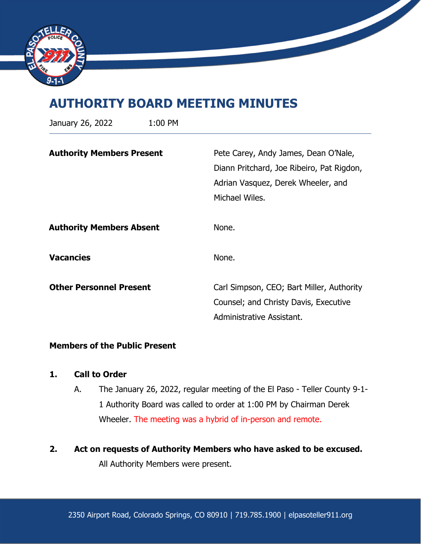

# **AUTHORITY BOARD MEETING MINUTES**

| January 26, 2022                 | 1:00 PM |                                                                                                                                           |
|----------------------------------|---------|-------------------------------------------------------------------------------------------------------------------------------------------|
| <b>Authority Members Present</b> |         | Pete Carey, Andy James, Dean O'Nale,<br>Diann Pritchard, Joe Ribeiro, Pat Rigdon,<br>Adrian Vasquez, Derek Wheeler, and<br>Michael Wiles. |
| <b>Authority Members Absent</b>  |         | None.                                                                                                                                     |
| <b>Vacancies</b>                 |         | None.                                                                                                                                     |
| <b>Other Personnel Present</b>   |         | Carl Simpson, CEO; Bart Miller, Authority<br>Counsel; and Christy Davis, Executive<br>Administrative Assistant.                           |

### **Members of the Public Present**

## **1. Call to Order**

- A. The January 26, 2022, regular meeting of the El Paso Teller County 9-1- 1 Authority Board was called to order at 1:00 PM by Chairman Derek Wheeler. The meeting was a hybrid of in-person and remote.
- **2. Act on requests of Authority Members who have asked to be excused.**

All Authority Members were present.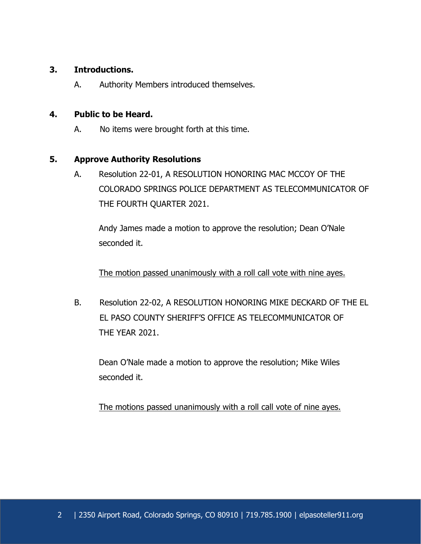# **3. Introductions.**

A. Authority Members introduced themselves.

#### **4. Public to be Heard.**

A. No items were brought forth at this time.

#### **5. Approve Authority Resolutions**

A. Resolution 22-01, A RESOLUTION HONORING MAC MCCOY OF THE COLORADO SPRINGS POLICE DEPARTMENT AS TELECOMMUNICATOR OF THE FOURTH QUARTER 2021.

Andy James made a motion to approve the resolution; Dean O'Nale seconded it.

The motion passed unanimously with a roll call vote with nine ayes.

B. Resolution 22-02, A RESOLUTION HONORING MIKE DECKARD OF THE EL EL PASO COUNTY SHERIFF'S OFFICE AS TELECOMMUNICATOR OF THE YEAR 2021.

Dean O'Nale made a motion to approve the resolution; Mike Wiles seconded it.

The motions passed unanimously with a roll call vote of nine ayes.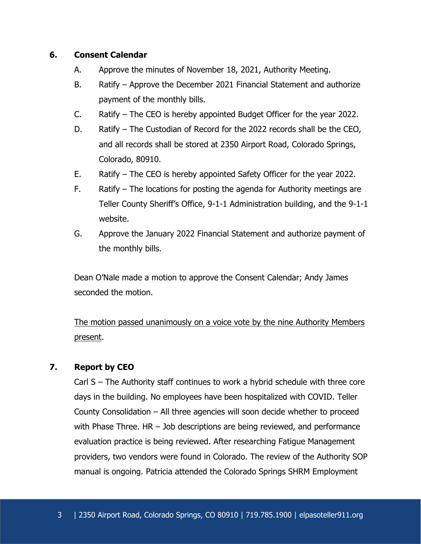## **6. Consent Calendar**

- A. Approve the minutes of November 18, 2021, Authority Meeting.
- B. Ratify Approve the December 2021 Financial Statement and authorize payment of the monthly bills.
- C. Ratify The CEO is hereby appointed Budget Officer for the year 2022.
- D. Ratify The Custodian of Record for the 2022 records shall be the CEO, and all records shall be stored at 2350 Airport Road, Colorado Springs, Colorado, 80910.
- E. Ratify The CEO is hereby appointed Safety Officer for the year 2022.
- F. Ratify The locations for posting the agenda for Authority meetings are Teller County Sheriff's Office, 9-1-1 Administration building, and the 9-1-1 website.
- G. Approve the January 2022 Financial Statement and authorize payment of the monthly bills.

Dean O'Nale made a motion to approve the Consent Calendar; Andy James seconded the motion.

The motion passed unanimously on a voice vote by the nine Authority Members present.

# **7. Report by CEO**

Carl S – The Authority staff continues to work a hybrid schedule with three core days in the building. No employees have been hospitalized with COVID. Teller County Consolidation – All three agencies will soon decide whether to proceed with Phase Three. HR – Job descriptions are being reviewed, and performance evaluation practice is being reviewed. After researching Fatigue Management providers, two vendors were found in Colorado. The review of the Authority SOP manual is ongoing. Patricia attended the Colorado Springs SHRM Employment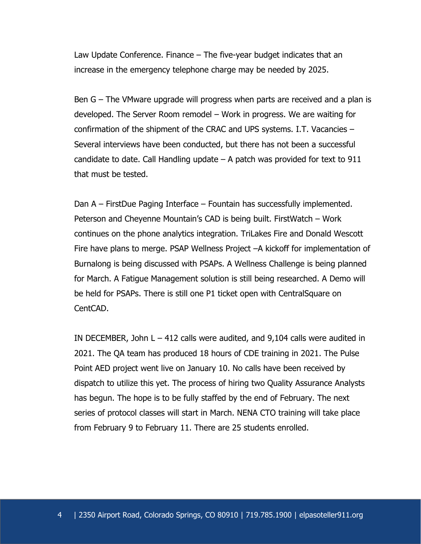Law Update Conference. Finance – The five-year budget indicates that an increase in the emergency telephone charge may be needed by 2025.

Ben G – The VMware upgrade will progress when parts are received and a plan is developed. The Server Room remodel – Work in progress. We are waiting for confirmation of the shipment of the CRAC and UPS systems. I.T. Vacancies – Several interviews have been conducted, but there has not been a successful candidate to date. Call Handling update  $-$  A patch was provided for text to 911 that must be tested.

Dan A – FirstDue Paging Interface – Fountain has successfully implemented. Peterson and Cheyenne Mountain's CAD is being built. FirstWatch – Work continues on the phone analytics integration. TriLakes Fire and Donald Wescott Fire have plans to merge. PSAP Wellness Project –A kickoff for implementation of Burnalong is being discussed with PSAPs. A Wellness Challenge is being planned for March. A Fatigue Management solution is still being researched. A Demo will be held for PSAPs. There is still one P1 ticket open with CentralSquare on CentCAD.

IN DECEMBER, John  $L - 412$  calls were audited, and 9,104 calls were audited in 2021. The QA team has produced 18 hours of CDE training in 2021. The Pulse Point AED project went live on January 10. No calls have been received by dispatch to utilize this yet. The process of hiring two Quality Assurance Analysts has begun. The hope is to be fully staffed by the end of February. The next series of protocol classes will start in March. NENA CTO training will take place from February 9 to February 11. There are 25 students enrolled.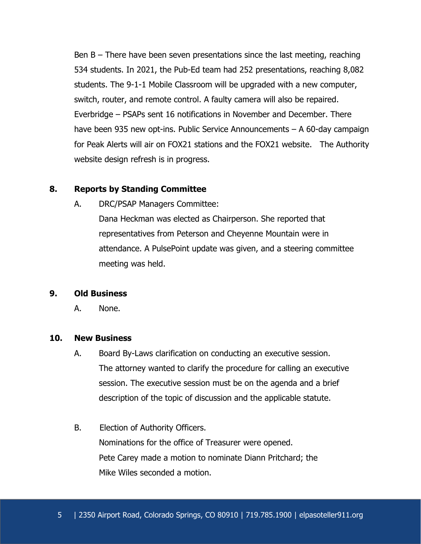Ben B – There have been seven presentations since the last meeting, reaching 534 students. In 2021, the Pub-Ed team had 252 presentations, reaching 8,082 students. The 9-1-1 Mobile Classroom will be upgraded with a new computer, switch, router, and remote control. A faulty camera will also be repaired. Everbridge – PSAPs sent 16 notifications in November and December. There have been 935 new opt-ins. Public Service Announcements – A 60-day campaign for Peak Alerts will air on FOX21 stations and the FOX21 website. The Authority website design refresh is in progress.

#### **8. Reports by Standing Committee**

A. DRC/PSAP Managers Committee:

Dana Heckman was elected as Chairperson. She reported that representatives from Peterson and Cheyenne Mountain were in attendance. A PulsePoint update was given, and a steering committee meeting was held.

#### **9. Old Business**

A. None.

#### **10. New Business**

- A. Board By-Laws clarification on conducting an executive session. The attorney wanted to clarify the procedure for calling an executive session. The executive session must be on the agenda and a brief description of the topic of discussion and the applicable statute.
- B. Election of Authority Officers. Nominations for the office of Treasurer were opened. Pete Carey made a motion to nominate Diann Pritchard; the Mike Wiles seconded a motion.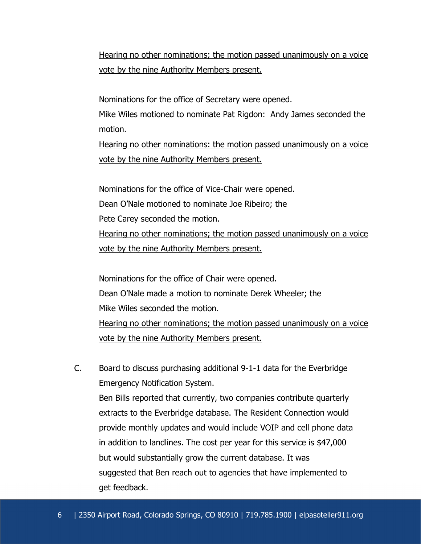Hearing no other nominations; the motion passed unanimously on a voice vote by the nine Authority Members present.

Nominations for the office of Secretary were opened.

 Mike Wiles motioned to nominate Pat Rigdon: Andy James seconded the motion.

 Hearing no other nominations: the motion passed unanimously on a voice vote by the nine Authority Members present.

 Nominations for the office of Vice-Chair were opened. Dean O'Nale motioned to nominate Joe Ribeiro; the Pete Carey seconded the motion. Hearing no other nominations; the motion passed unanimously on a voice vote by the nine Authority Members present.

 Nominations for the office of Chair were opened. Dean O'Nale made a motion to nominate Derek Wheeler; the Mike Wiles seconded the motion. Hearing no other nominations; the motion passed unanimously on a voice

vote by the nine Authority Members present.

 C. Board to discuss purchasing additional 9-1-1 data for the Everbridge Emergency Notification System. Ben Bills reported that currently, two companies contribute quarterly extracts to the Everbridge database. The Resident Connection would provide monthly updates and would include VOIP and cell phone data in addition to landlines. The cost per year for this service is \$47,000 but would substantially grow the current database. It was suggested that Ben reach out to agencies that have implemented to get feedback.